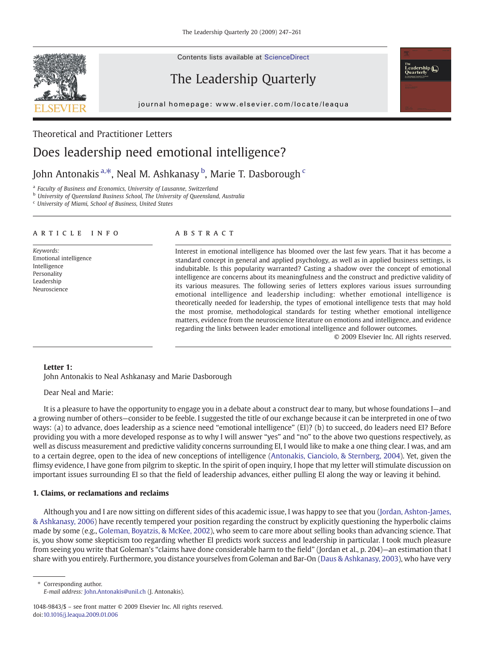Contents lists available at ScienceDirect

# The Leadership Quarterly

journal homepage: www.elsevier.com/locate/leaqua

## Theoretical and Practitioner Letters

# Does leadership need emotional intelligence?

## John Antonakis <sup>a, $\ast$ </sup>, Neal M. Ashkanasy  $^{\rm b}$ , Marie T. Dasborough  $^{\rm c}$

<sup>a</sup> Faculty of Business and Economics, University of Lausanne, Switzerland

<sup>b</sup> University of Queensland Business School, The University of Queensland, Australia

<sup>c</sup> University of Miami, School of Business, United States

### article info abstract

Keywords: Emotional intelligence Intelligence Personality Leadership Neuroscience

Interest in emotional intelligence has bloomed over the last few years. That it has become a standard concept in general and applied psychology, as well as in applied business settings, is indubitable. Is this popularity warranted? Casting a shadow over the concept of emotional intelligence are concerns about its meaningfulness and the construct and predictive validity of its various measures. The following series of letters explores various issues surrounding emotional intelligence and leadership including: whether emotional intelligence is theoretically needed for leadership, the types of emotional intelligence tests that may hold the most promise, methodological standards for testing whether emotional intelligence matters, evidence from the neuroscience literature on emotions and intelligence, and evidence regarding the links between leader emotional intelligence and follower outcomes.

© 2009 Elsevier Inc. All rights reserved.

<sub>ıne</sub><br>Leadership (█)<br>Quortorlu

## Letter 1:

John Antonakis to Neal Ashkanasy and Marie Dasborough

Dear Neal and Marie:

It is a pleasure to have the opportunity to engage you in a debate about a construct dear to many, but whose foundations I—and a growing number of others—consider to be feeble. I suggested the title of our exchange because it can be interpreted in one of two ways: (a) to advance, does leadership as a science need "emotional intelligence" (EI)? (b) to succeed, do leaders need EI? Before providing you with a more developed response as to why I will answer "yes" and "no" to the above two questions respectively, as well as discuss measurement and predictive validity concerns surrounding EI, I would like to make a one thing clear. I was, and am to a certain degree, open to the idea of new conceptions of intelligence [\(Antonakis, Cianciolo, & Sternberg, 2004](#page--1-0)). Yet, given the flimsy evidence, I have gone from pilgrim to skeptic. In the spirit of open inquiry, I hope that my letter will stimulate discussion on important issues surrounding EI so that the field of leadership advances, either pulling EI along the way or leaving it behind.

## 1. Claims, or reclamations and reclaims

Although you and I are now sitting on different sides of this academic issue, I was happy to see that you ([Jordan, Ashton-James,](#page--1-0) [& Ashkanasy, 2006](#page--1-0)) have recently tempered your position regarding the construct by explicitly questioning the hyperbolic claims made by some (e.g., [Goleman, Boyatzis, & McKee, 2002](#page--1-0)), who seem to care more about selling books than advancing science. That is, you show some skepticism too regarding whether EI predicts work success and leadership in particular. I took much pleasure from seeing you write that Goleman's "claims have done considerable harm to the field" (Jordan et al., p. 204)—an estimation that I share with you entirely. Furthermore, you distance yourselves from Goleman and Bar-On ([Daus & Ashkanasy, 2003](#page--1-0)), who have very

⁎ Corresponding author. E-mail address: [John.Antonakis@unil.ch](mailto:John.Antonakis@unil.ch) (J. Antonakis).



<sup>1048-9843/\$</sup> – see front matter © 2009 Elsevier Inc. All rights reserved. doi[:10.1016/j.leaqua.2009.01.006](http://dx.doi.org/10.1016/j.leaqua.2009.01.006)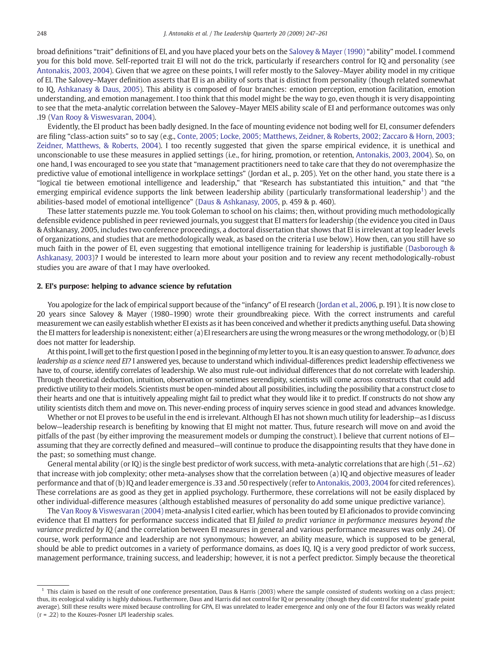broad definitions "trait" definitions of EI, and you have placed your bets on the [Salovey & Mayer \(1990\)](#page--1-0) "ability" model. I commend you for this bold move. Self-reported trait EI will not do the trick, particularly if researchers control for IQ and personality (see [Antonakis, 2003, 2004](#page--1-0)). Given that we agree on these points, I will refer mostly to the Salovey–Mayer ability model in my critique of EI. The Salovey–Mayer definition asserts that EI is an ability of sorts that is distinct from personality (though related somewhat to IQ, [Ashkanasy & Daus, 2005\)](#page--1-0). This ability is composed of four branches: emotion perception, emotion facilitation, emotion understanding, and emotion management. I too think that this model might be the way to go, even though it is very disappointing to see that the meta-analytic correlation between the Salovey–Mayer MEIS ability scale of EI and performance outcomes was only .19 ([Van Rooy & Viswesvaran, 2004\)](#page--1-0).

Evidently, the EI product has been badly designed. In the face of mounting evidence not boding well for EI, consumer defenders are filing "class-action suits" so to say (e.g., [Conte, 2005; Locke, 2005; Matthews, Zeidner, & Roberts, 2002; Zaccaro & Horn, 2003;](#page--1-0) [Zeidner, Matthews, & Roberts, 2004](#page--1-0)). I too recently suggested that given the sparse empirical evidence, it is unethical and unconscionable to use these measures in applied settings (i.e., for hiring, promotion, or retention, [Antonakis, 2003, 2004\)](#page--1-0). So, on one hand, I was encouraged to see you state that "management practitioners need to take care that they do not overemphasize the predictive value of emotional intelligence in workplace settings" (Jordan et al., p. 205). Yet on the other hand, you state there is a "logical tie between emotional intelligence and leadership," that "Research has substantiated this intuition," and that "the emerging empirical evidence supports the link between leadership ability (particularly transformational leadership<sup>1</sup>) and the abilities-based model of emotional intelligence" [\(Daus & Ashkanasy, 2005](#page--1-0), p. 459 & p. 460).

These latter statements puzzle me. You took Goleman to school on his claims; then, without providing much methodologically defensible evidence published in peer reviewed journals, you suggest that EI matters for leadership (the evidence you cited in Daus & Ashkanasy, 2005, includes two conference proceedings, a doctoral dissertation that shows that EI is irrelevant at top leader levels of organizations, and studies that are methodologically weak, as based on the criteria I use below). How then, can you still have so much faith in the power of EI, even suggesting that emotional intelligence training for leadership is justifiable ([Dasborough &](#page--1-0) [Ashkanasy, 2003\)](#page--1-0)? I would be interested to learn more about your position and to review any recent methodologically-robust studies you are aware of that I may have overlooked.

### 2. EI's purpose: helping to advance science by refutation

You apologize for the lack of empirical support because of the "infancy" of EI research [\(Jordan et al., 2006](#page--1-0), p. 191). It is now close to 20 years since Salovey & Mayer (1980–1990) wrote their groundbreaking piece. With the correct instruments and careful measurement we can easily establish whether EI exists as it has been conceived and whether it predicts anything useful. Data showing the EI matters for leadership is nonexistent; either (a) EI researchers are using the wrong measures or the wrong methodology, or (b) EI does not matter for leadership.

At this point, I will get to the first question I posed in the beginning of myletter to you. It is an easy question to answer. To advance, does leadership as a science need EI? I answered yes, because to understand which individual-differences predict leadership effectiveness we have to, of course, identify correlates of leadership. We also must rule-out individual differences that do not correlate with leadership. Through theoretical deduction, intuition, observation or sometimes serendipity, scientists will come across constructs that could add predictive utility to their models. Scientists must be open-minded about all possibilities, including the possibility that a construct close to their hearts and one that is intuitively appealing might fail to predict what they would like it to predict. If constructs do not show any utility scientists ditch them and move on. This never-ending process of inquiry serves science in good stead and advances knowledge.

Whether or not EI proves to be useful in the end is irrelevant. Although EI has not shown much utility for leadership—as I discuss below—leadership research is benefiting by knowing that EI might not matter. Thus, future research will move on and avoid the pitfalls of the past (by either improving the measurement models or dumping the construct). I believe that current notions of EI assuming that they are correctly defined and measured—will continue to produce the disappointing results that they have done in the past; so something must change.

General mental ability (or IQ) is the single best predictor of work success, with meta-analytic correlations that are high (.51–.62) that increase with job complexity; other meta-analyses show that the correlation between (a) IQ and objective measures of leader performance and that of (b) IQ and leader emergence is .33 and .50 respectively (refer to [Antonakis, 2003, 2004](#page--1-0) for cited references). These correlations are as good as they get in applied psychology. Furthermore, these correlations will not be easily displaced by other individual-difference measures (although established measures of personality do add some unique predictive variance).

The [Van Rooy & Viswesvaran \(2004\)](#page--1-0) meta-analysis I cited earlier, which has been touted by EI aficionados to provide convincing evidence that EI matters for performance success indicated that EI failed to predict variance in performance measures beyond the variance predicted by IQ (and the correlation between EI measures in general and various performance measures was only .24). Of course, work performance and leadership are not synonymous; however, an ability measure, which is supposed to be general, should be able to predict outcomes in a variety of performance domains, as does IQ. IQ is a very good predictor of work success, management performance, training success, and leadership; however, it is not a perfect predictor. Simply because the theoretical

<sup>&</sup>lt;sup>1</sup> This claim is based on the result of one conference presentation, Daus & Harris (2003) where the sample consisted of students working on a class project; thus, its ecological validity is highly dubious. Furthermore, Daus and Harris did not control for IQ or personality (though they did control for students' grade point average). Still these results were mixed because controlling for GPA, EI was unrelated to leader emergence and only one of the four EI factors was weakly related (r = .22) to the Kouzes-Posner LPI leadership scales.